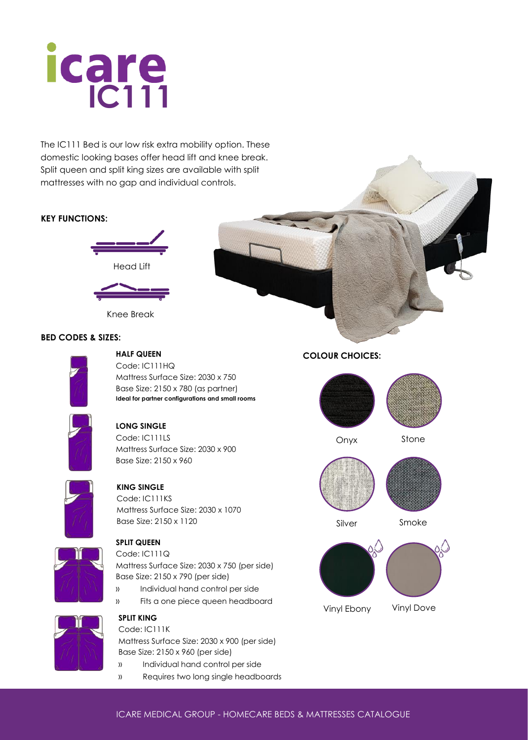# **icare**

The IC111 Bed is our low risk extra mobility option. These domestic looking bases offer head lift and knee break. Split queen and split king sizes are available with split mattresses with no gap and individual controls.

# **KEY FUNCTIONS:**



Knee Break

# **BED CODES & SIZES:**



### **HALF QUEEN** Code: IC111HQ

Mattress Surface Size: 2030 x 750 Base Size: 2150 x 780 (as partner) **Ideal for partner configurations and small rooms**



# **LONG SINGLE**

Code: IC111LS Mattress Surface Size: 2030 x 900 Base Size: 2150 x 960



# **KING SINGLE**

Code: IC111KS Mattress Surface Size: 2030 x 1070 Base Size: 2150 x 1120



# **SPLIT QUEEN**

Code: IC111Q

Mattress Surface Size: 2030 x 750 (per side) Base Size: 2150 x 790 (per side)

- » Individual hand control per side
- » Fits a one piece queen headboard



### **SPLIT KING** Code: IC111K

Mattress Surface Size: 2030 x 900 (per side) Base Size: 2150 x 960 (per side)

- » Individual hand control per side
- » Requires two long single headboards

# **COLOUR CHOICES:**



Onyx



Silver Smoke